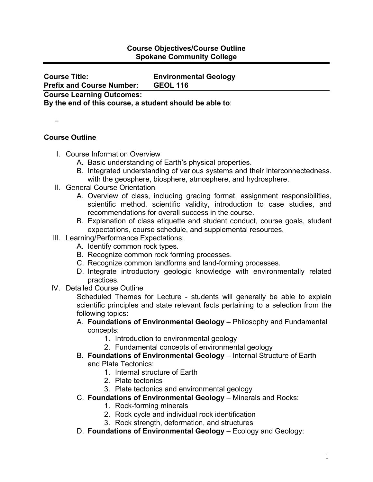## **Course Objectives/Course Outline Spokane Community College**

**Course Title: Environmental Geology Prefix and Course Number: GEOL 116**

**Course Learning Outcomes:** 

**By the end of this course, a student should be able to**:

−

## **Course Outline**

- I. Course Information Overview
	- A. Basic understanding of Earth's physical properties.
	- B. Integrated understanding of various systems and their interconnectedness. with the geosphere, biosphere, atmosphere, and hydrosphere.
- II. General Course Orientation
	- A. Overview of class, including grading format, assignment responsibilities, scientific method, scientific validity, introduction to case studies, and recommendations for overall success in the course.
	- B. Explanation of class etiquette and student conduct, course goals, student expectations, course schedule, and supplemental resources.
- III. Learning/Performance Expectations:
	- A. Identify common rock types.
	- B. Recognize common rock forming processes.
	- C. Recognize common landforms and land-forming processes.
	- D. Integrate introductory geologic knowledge with environmentally related practices.
- IV. Detailed Course Outline

Scheduled Themes for Lecture - students will generally be able to explain scientific principles and state relevant facts pertaining to a selection from the following topics:

- A. **Foundations of Environmental Geology** Philosophy and Fundamental concepts:
	- 1. Introduction to environmental geology
	- 2. Fundamental concepts of environmental geology
- B. **Foundations of Environmental Geology** Internal Structure of Earth and Plate Tectonics:
	- 1. Internal structure of Earth
	- 2. Plate tectonics
	- 3. Plate tectonics and environmental geology
- C. **Foundations of Environmental Geology** Minerals and Rocks:
	- 1. Rock-forming minerals
	- 2. Rock cycle and individual rock identification
	- 3. Rock strength, deformation, and structures
- D. **Foundations of Environmental Geology** Ecology and Geology: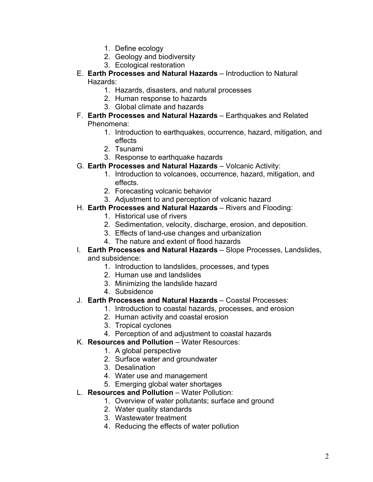- 1. Define ecology
- 2. Geology and biodiversity
- 3. Ecological restoration
- E. **Earth Processes and Natural Hazards** Introduction to Natural Hazards:
	- 1. Hazards, disasters, and natural processes
	- 2. Human response to hazards
	- 3. Global climate and hazards
- F. **Earth Processes and Natural Hazards** Earthquakes and Related Phenomena:
	- 1. Introduction to earthquakes, occurrence, hazard, mitigation, and effects
	- 2. Tsunami
	- 3. Response to earthquake hazards
- G. **Earth Processes and Natural Hazards** Volcanic Activity:
	- 1. Introduction to volcanoes, occurrence, hazard, mitigation, and effects.
	- 2. Forecasting volcanic behavior
	- 3. Adjustment to and perception of volcanic hazard
- H. **Earth Processes and Natural Hazards** Rivers and Flooding:
	- 1. Historical use of rivers
	- 2. Sedimentation, velocity, discharge, erosion, and deposition.
	- 3. Effects of land-use changes and urbanization
	- 4. The nature and extent of flood hazards
- I. **Earth Processes and Natural Hazards** Slope Processes, Landslides, and subsidence:
	- 1. Introduction to landslides, processes, and types
	- 2. Human use and landslides
	- 3. Minimizing the landslide hazard
	- 4. Subsidence
- J. **Earth Processes and Natural Hazards** Coastal Processes:
	- 1. Introduction to coastal hazards, processes, and erosion
		- 2. Human activity and coastal erosion
		- 3. Tropical cyclones
		- 4. Perception of and adjustment to coastal hazards
- K. **Resources and Pollution** Water Resources:
	- 1. A global perspective
	- 2. Surface water and groundwater
	- 3. Desalination
	- 4. Water use and management
	- 5. Emerging global water shortages
- L. **Resources and Pollution** Water Pollution:
	- 1. Overview of water pollutants; surface and ground
	- 2. Water quality standards
	- 3. Wastewater treatment
	- 4. Reducing the effects of water pollution